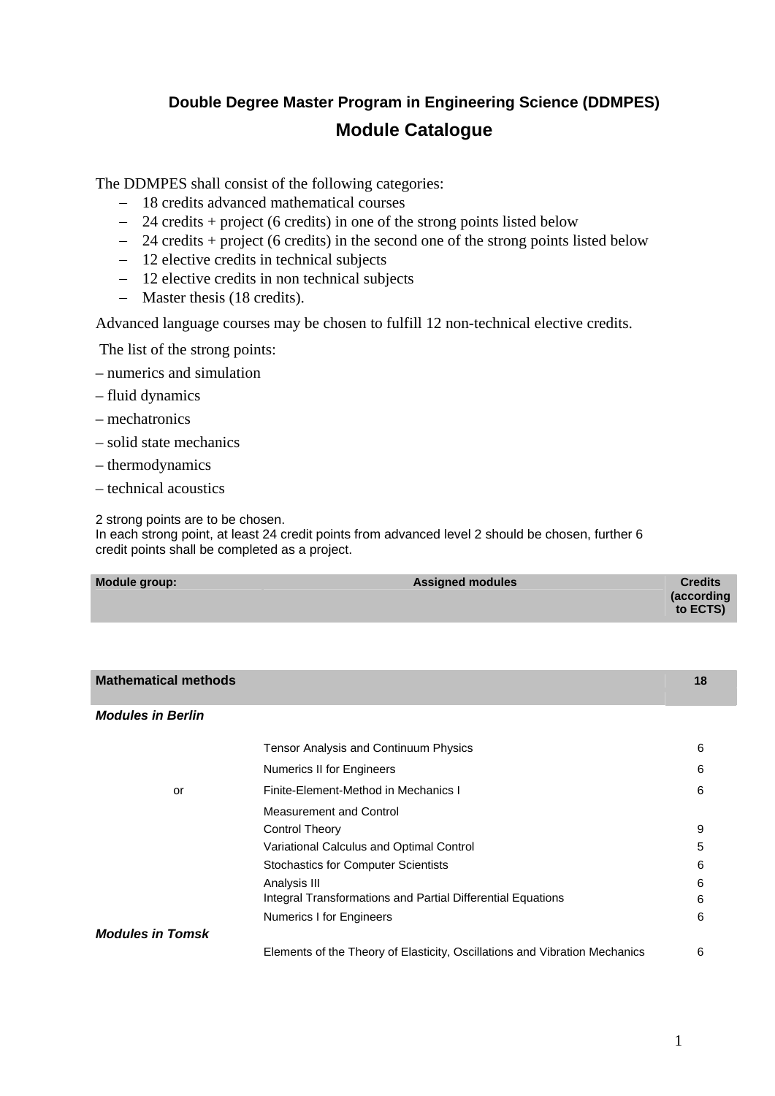# **Double Degree Master Program in Engineering Science (DDMPES) Module Catalogue**

The DDMPES shall consist of the following categories:

- − 18 credits advanced mathematical courses
- − 24 credits + project (6 credits) in one of the strong points listed below
- − 24 credits + project (6 credits) in the second one of the strong points listed below
- − 12 elective credits in technical subjects
- − 12 elective credits in non technical subjects
- − Master thesis (18 credits).

Advanced language courses may be chosen to fulfill 12 non-technical elective credits.

The list of the strong points:

- numerics and simulation
- fluid dynamics
- mechatronics
- solid state mechanics
- thermodynamics
- technical acoustics

2 strong points are to be chosen.

In each strong point, at least 24 credit points from advanced level 2 should be chosen, further 6 credit points shall be completed as a project.

| Module group: | <b>Assigned modules</b> | <b>Credits</b><br>(according<br>to ECTS) |
|---------------|-------------------------|------------------------------------------|
|               |                         |                                          |

| <b>Mathematical methods</b> |                                                                            | 18 |
|-----------------------------|----------------------------------------------------------------------------|----|
|                             |                                                                            |    |
| <b>Modules in Berlin</b>    |                                                                            |    |
|                             | <b>Tensor Analysis and Continuum Physics</b>                               | 6  |
|                             | Numerics II for Engineers                                                  | 6  |
| or                          | Finite-Element-Method in Mechanics I                                       | 6  |
|                             | Measurement and Control                                                    |    |
|                             | <b>Control Theory</b>                                                      | 9  |
|                             | Variational Calculus and Optimal Control                                   | 5  |
|                             | <b>Stochastics for Computer Scientists</b>                                 | 6  |
|                             | Analysis III                                                               | 6  |
|                             | Integral Transformations and Partial Differential Equations                | 6  |
|                             | Numerics I for Engineers                                                   | 6  |
| <b>Modules in Tomsk</b>     |                                                                            |    |
|                             | Elements of the Theory of Elasticity, Oscillations and Vibration Mechanics | 6  |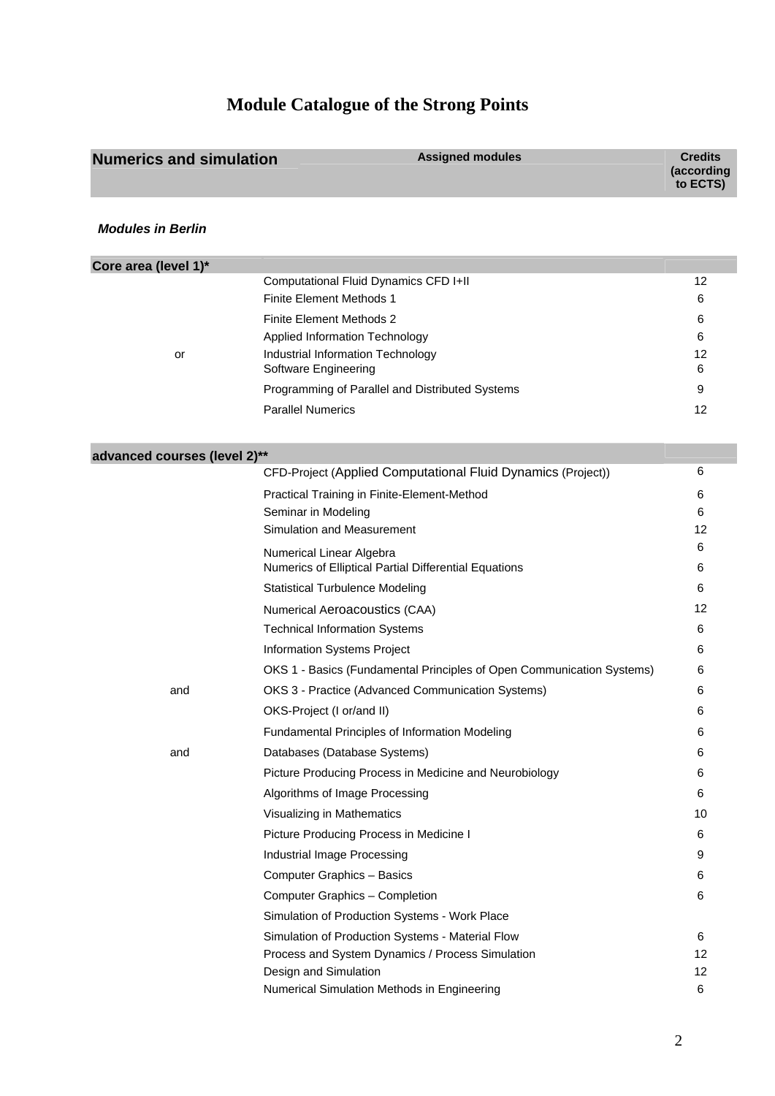# **Module Catalogue of the Strong Points**

| <b>Numerics and simulation</b> | <b>Assigned modules</b>                                               | <b>Credits</b><br>(according<br>to ECTS) |
|--------------------------------|-----------------------------------------------------------------------|------------------------------------------|
| <b>Modules in Berlin</b>       |                                                                       |                                          |
| Core area (level 1)*           |                                                                       |                                          |
|                                | Computational Fluid Dynamics CFD I+II                                 | 12                                       |
|                                | <b>Finite Element Methods 1</b>                                       | 6                                        |
|                                | <b>Finite Element Methods 2</b>                                       | 6                                        |
|                                | Applied Information Technology<br>Industrial Information Technology   | 6<br>12                                  |
| or                             | Software Engineering                                                  | 6                                        |
|                                | Programming of Parallel and Distributed Systems                       | 9                                        |
|                                | <b>Parallel Numerics</b>                                              | 12                                       |
|                                |                                                                       |                                          |
| advanced courses (level 2)**   |                                                                       |                                          |
|                                | CFD-Project (Applied Computational Fluid Dynamics (Project))          | 6                                        |
|                                | Practical Training in Finite-Element-Method                           | 6                                        |
|                                | Seminar in Modeling                                                   | 6                                        |
|                                | Simulation and Measurement                                            | 12                                       |
|                                | Numerical Linear Algebra                                              | 6                                        |
|                                | Numerics of Elliptical Partial Differential Equations                 | 6                                        |
|                                | <b>Statistical Turbulence Modeling</b>                                | 6                                        |
|                                | Numerical Aeroacoustics (CAA)                                         | 12                                       |
|                                | <b>Technical Information Systems</b>                                  | 6                                        |
|                                | Information Systems Project                                           | 6                                        |
|                                | OKS 1 - Basics (Fundamental Principles of Open Communication Systems) | 6                                        |
| and                            | OKS 3 - Practice (Advanced Communication Systems)                     | 6                                        |
|                                | OKS-Project (I or/and II)                                             | 6                                        |
|                                | Fundamental Principles of Information Modeling                        | 6                                        |
| and                            | Databases (Database Systems)                                          | 6                                        |
|                                | Picture Producing Process in Medicine and Neurobiology                | 6                                        |
|                                | Algorithms of Image Processing                                        | 6                                        |
|                                | Visualizing in Mathematics                                            | 10                                       |
|                                | Picture Producing Process in Medicine I                               | 6                                        |
|                                | Industrial Image Processing                                           | 9                                        |
|                                | Computer Graphics - Basics                                            | 6                                        |
|                                | Computer Graphics - Completion                                        | 6                                        |
|                                | Simulation of Production Systems - Work Place                         |                                          |
|                                | Simulation of Production Systems - Material Flow                      | 6                                        |
|                                | Process and System Dynamics / Process Simulation                      | 12                                       |
|                                | Design and Simulation                                                 | 12                                       |
|                                | Numerical Simulation Methods in Engineering                           | 6                                        |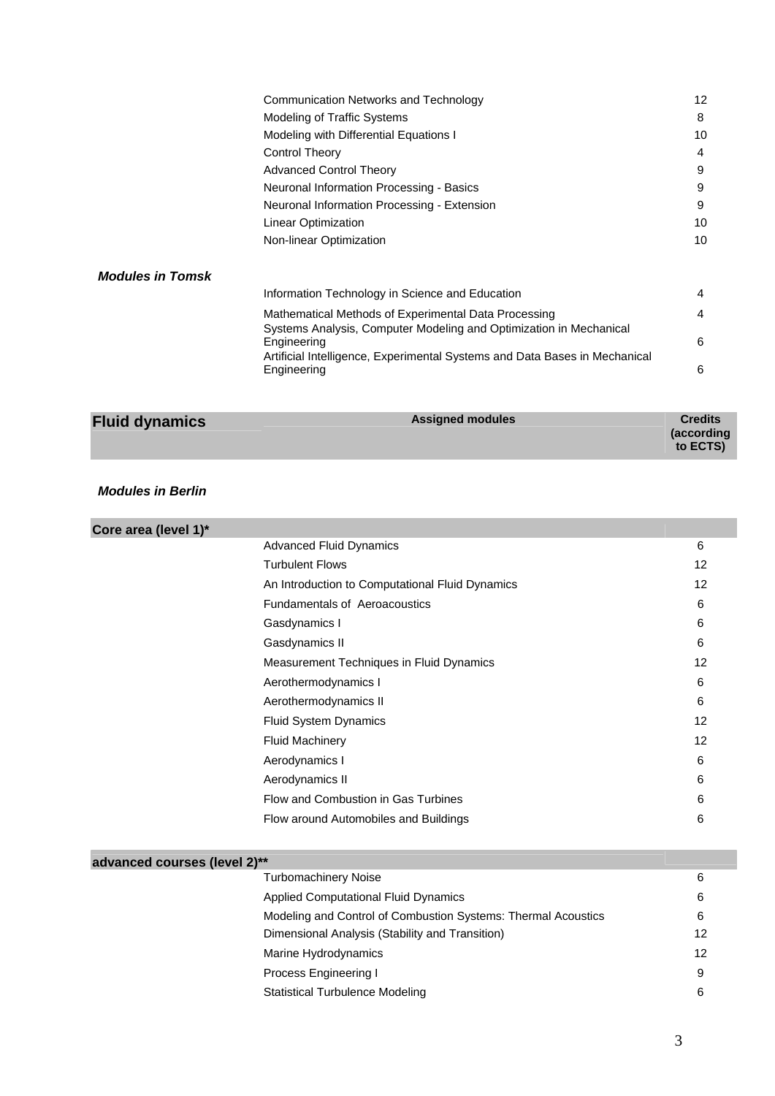| <b>Fluid dynamics</b>   | <b>Assigned modules</b>                                                                   | <b>Credits</b> |
|-------------------------|-------------------------------------------------------------------------------------------|----------------|
|                         |                                                                                           |                |
|                         | Engineering                                                                               | 6              |
|                         | Engineering<br>Artificial Intelligence, Experimental Systems and Data Bases in Mechanical |                |
|                         | Systems Analysis, Computer Modeling and Optimization in Mechanical                        | 6              |
|                         | Mathematical Methods of Experimental Data Processing                                      | 4              |
|                         | Information Technology in Science and Education                                           | 4              |
| <b>Modules in Tomsk</b> |                                                                                           |                |
|                         | Non-linear Optimization                                                                   | 10             |
|                         | Linear Optimization                                                                       | 10             |
|                         | Neuronal Information Processing - Extension                                               | 9              |
|                         | Neuronal Information Processing - Basics                                                  | 9              |
|                         | <b>Advanced Control Theory</b>                                                            | 9              |
|                         | Control Theory                                                                            | 4              |
|                         | Modeling with Differential Equations I                                                    | 10             |
|                         | Modeling of Traffic Systems                                                               | 8              |
|                         | Communication Networks and Technology                                                     | 12             |
|                         |                                                                                           |                |

### *Modules in Berlin*

| Core area (level 1)*         |                                                 |    |
|------------------------------|-------------------------------------------------|----|
|                              | <b>Advanced Fluid Dynamics</b>                  | 6  |
|                              | <b>Turbulent Flows</b>                          | 12 |
|                              | An Introduction to Computational Fluid Dynamics | 12 |
|                              | <b>Fundamentals of Aeroacoustics</b>            | 6  |
|                              | Gasdynamics I                                   | 6  |
|                              | Gasdynamics II                                  | 6  |
|                              | Measurement Techniques in Fluid Dynamics        | 12 |
|                              | Aerothermodynamics I                            | 6  |
|                              | Aerothermodynamics II                           | 6  |
|                              | Fluid System Dynamics                           | 12 |
|                              | <b>Fluid Machinery</b>                          | 12 |
|                              | Aerodynamics I                                  | 6  |
|                              | Aerodynamics II                                 | 6  |
|                              | Flow and Combustion in Gas Turbines             | 6  |
|                              | Flow around Automobiles and Buildings           | 6  |
|                              |                                                 |    |
| advanced courses (level 2)** |                                                 |    |

| <b>Turbomachinery Noise</b>                                   | 6  |
|---------------------------------------------------------------|----|
| <b>Applied Computational Fluid Dynamics</b>                   | 6  |
| Modeling and Control of Combustion Systems: Thermal Acoustics | 6  |
| Dimensional Analysis (Stability and Transition)               | 12 |
| Marine Hydrodynamics                                          | 12 |
| Process Engineering I                                         | 9  |
| <b>Statistical Turbulence Modeling</b>                        | 6  |

**(according to ECTS)**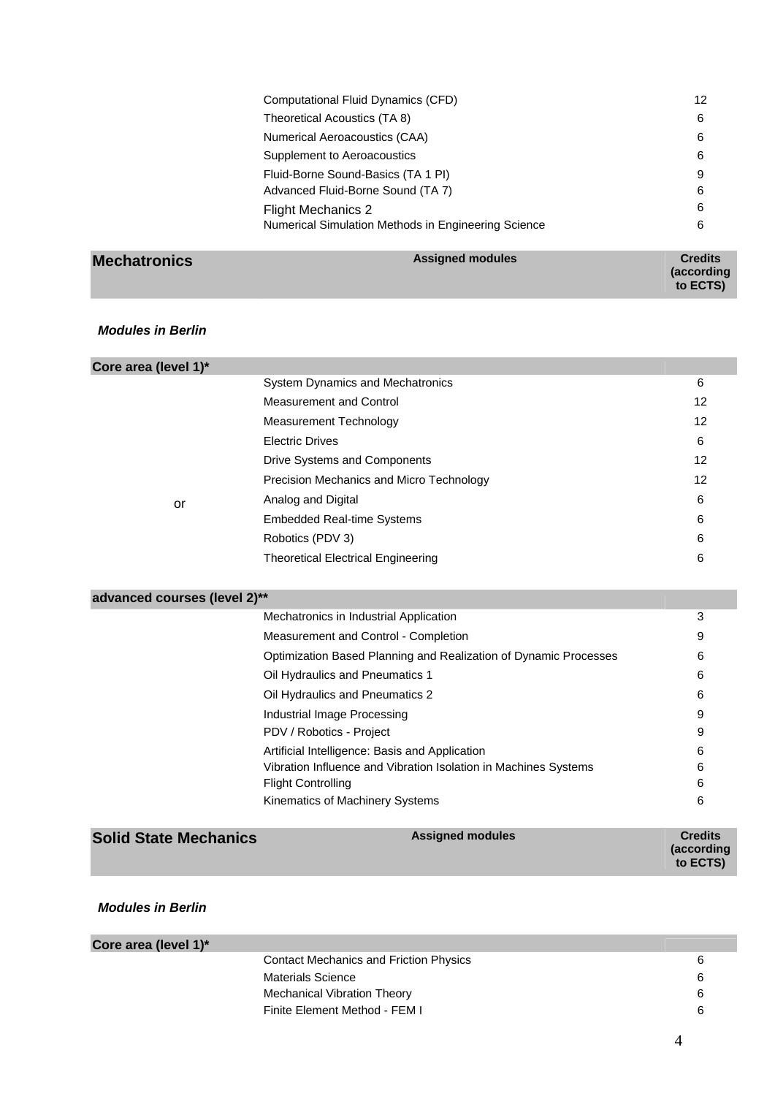| . | Acciance modules                                    | $C$ is a distant |
|---|-----------------------------------------------------|------------------|
|   | Numerical Simulation Methods in Engineering Science | 6                |
|   | <b>Flight Mechanics 2</b>                           | 6                |
|   | Advanced Fluid-Borne Sound (TA 7)                   | 6                |
|   | Fluid-Borne Sound-Basics (TA 1 PI)                  | 9                |
|   | Supplement to Aeroacoustics                         | 6                |
|   | Numerical Aeroacoustics (CAA)                       | 6                |
|   | Theoretical Acoustics (TA 8)                        | 6                |
|   | Computational Fluid Dynamics (CFD)                  | 12               |
|   |                                                     |                  |

| <b>Mechatronics</b> | <b>Assigned modules</b> | <b>Credits</b>     |
|---------------------|-------------------------|--------------------|
|                     |                         | <i>(according)</i> |
|                     |                         | to ECTS)           |

## *Modules in Berlin*

| Core area (level 1)* |                                           |    |
|----------------------|-------------------------------------------|----|
|                      | <b>System Dynamics and Mechatronics</b>   | 6  |
|                      | <b>Measurement and Control</b>            | 12 |
|                      | Measurement Technology                    | 12 |
|                      | <b>Electric Drives</b>                    | 6  |
|                      | Drive Systems and Components              | 12 |
|                      | Precision Mechanics and Micro Technology  | 12 |
| or                   | Analog and Digital                        | 6  |
|                      | <b>Embedded Real-time Systems</b>         | 6  |
|                      | Robotics (PDV 3)                          | 6  |
|                      | <b>Theoretical Electrical Engineering</b> | 6  |
|                      |                                           |    |

#### **advanced courses (level 2)\*\***

| Mechatronics in Industrial Application                           | 3 |
|------------------------------------------------------------------|---|
| Measurement and Control - Completion                             | 9 |
| Optimization Based Planning and Realization of Dynamic Processes | 6 |
| Oil Hydraulics and Pneumatics 1                                  | 6 |
| Oil Hydraulics and Pneumatics 2                                  | 6 |
| Industrial Image Processing                                      | 9 |
| PDV / Robotics - Project                                         | 9 |
| Artificial Intelligence: Basis and Application                   | 6 |
| Vibration Influence and Vibration Isolation in Machines Systems  | 6 |
| <b>Flight Controlling</b>                                        | 6 |
| Kinematics of Machinery Systems                                  | 6 |
|                                                                  |   |

| <b>Solid State Mechanics</b> | <b>Assigned modules</b> | <b>Credits</b>                 |
|------------------------------|-------------------------|--------------------------------|
|                              |                         | <i>(according)</i><br>to ECTS) |

# *Modules in Berlin*

| Core area (level 1)*                          |  |
|-----------------------------------------------|--|
| <b>Contact Mechanics and Friction Physics</b> |  |
| <b>Materials Science</b>                      |  |
| Mechanical Vibration Theory                   |  |
| Finite Element Method - FEM I                 |  |
|                                               |  |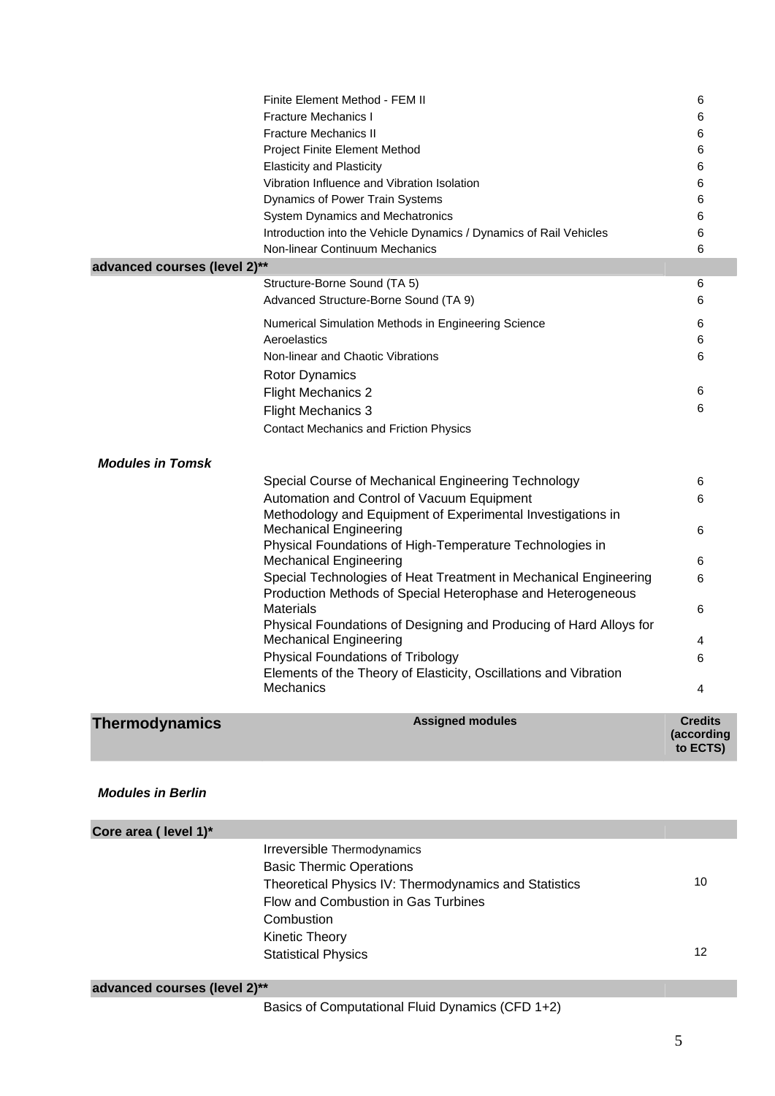|                              | Finite Element Method - FEM II                                                                                                                                                                                                                                                                                                                                                                                                                                                                                                                                                                                                                                                            | 6                                         |
|------------------------------|-------------------------------------------------------------------------------------------------------------------------------------------------------------------------------------------------------------------------------------------------------------------------------------------------------------------------------------------------------------------------------------------------------------------------------------------------------------------------------------------------------------------------------------------------------------------------------------------------------------------------------------------------------------------------------------------|-------------------------------------------|
|                              | Fracture Mechanics I                                                                                                                                                                                                                                                                                                                                                                                                                                                                                                                                                                                                                                                                      | 6                                         |
|                              | <b>Fracture Mechanics II</b>                                                                                                                                                                                                                                                                                                                                                                                                                                                                                                                                                                                                                                                              | 6                                         |
|                              | Project Finite Element Method                                                                                                                                                                                                                                                                                                                                                                                                                                                                                                                                                                                                                                                             | 6                                         |
|                              | <b>Elasticity and Plasticity</b>                                                                                                                                                                                                                                                                                                                                                                                                                                                                                                                                                                                                                                                          | 6                                         |
|                              | Vibration Influence and Vibration Isolation                                                                                                                                                                                                                                                                                                                                                                                                                                                                                                                                                                                                                                               | 6                                         |
|                              | Dynamics of Power Train Systems                                                                                                                                                                                                                                                                                                                                                                                                                                                                                                                                                                                                                                                           | 6                                         |
|                              | <b>System Dynamics and Mechatronics</b>                                                                                                                                                                                                                                                                                                                                                                                                                                                                                                                                                                                                                                                   | 6                                         |
|                              | Introduction into the Vehicle Dynamics / Dynamics of Rail Vehicles                                                                                                                                                                                                                                                                                                                                                                                                                                                                                                                                                                                                                        | 6                                         |
|                              | Non-linear Continuum Mechanics                                                                                                                                                                                                                                                                                                                                                                                                                                                                                                                                                                                                                                                            | 6                                         |
| advanced courses (level 2)** |                                                                                                                                                                                                                                                                                                                                                                                                                                                                                                                                                                                                                                                                                           |                                           |
|                              | Structure-Borne Sound (TA 5)                                                                                                                                                                                                                                                                                                                                                                                                                                                                                                                                                                                                                                                              | 6                                         |
|                              | Advanced Structure-Borne Sound (TA 9)                                                                                                                                                                                                                                                                                                                                                                                                                                                                                                                                                                                                                                                     | 6                                         |
|                              |                                                                                                                                                                                                                                                                                                                                                                                                                                                                                                                                                                                                                                                                                           |                                           |
|                              | Numerical Simulation Methods in Engineering Science                                                                                                                                                                                                                                                                                                                                                                                                                                                                                                                                                                                                                                       | 6                                         |
|                              | Aeroelastics                                                                                                                                                                                                                                                                                                                                                                                                                                                                                                                                                                                                                                                                              | 6                                         |
|                              | Non-linear and Chaotic Vibrations                                                                                                                                                                                                                                                                                                                                                                                                                                                                                                                                                                                                                                                         | 6                                         |
|                              | <b>Rotor Dynamics</b>                                                                                                                                                                                                                                                                                                                                                                                                                                                                                                                                                                                                                                                                     |                                           |
|                              | <b>Flight Mechanics 2</b>                                                                                                                                                                                                                                                                                                                                                                                                                                                                                                                                                                                                                                                                 | 6                                         |
|                              | <b>Flight Mechanics 3</b>                                                                                                                                                                                                                                                                                                                                                                                                                                                                                                                                                                                                                                                                 | 6                                         |
|                              | <b>Contact Mechanics and Friction Physics</b>                                                                                                                                                                                                                                                                                                                                                                                                                                                                                                                                                                                                                                             |                                           |
| <b>Modules in Tomsk</b>      | Special Course of Mechanical Engineering Technology<br>Automation and Control of Vacuum Equipment<br>Methodology and Equipment of Experimental Investigations in<br><b>Mechanical Engineering</b><br>Physical Foundations of High-Temperature Technologies in<br><b>Mechanical Engineering</b><br>Special Technologies of Heat Treatment in Mechanical Engineering<br>Production Methods of Special Heterophase and Heterogeneous<br><b>Materials</b><br>Physical Foundations of Designing and Producing of Hard Alloys for<br><b>Mechanical Engineering</b><br><b>Physical Foundations of Tribology</b><br>Elements of the Theory of Elasticity, Oscillations and Vibration<br>Mechanics | 6<br>6<br>6<br>6<br>6<br>6<br>4<br>6<br>4 |
| <b>Thermodynamics</b>        | <b>Assigned modules</b>                                                                                                                                                                                                                                                                                                                                                                                                                                                                                                                                                                                                                                                                   | <b>Credits</b>                            |
|                              |                                                                                                                                                                                                                                                                                                                                                                                                                                                                                                                                                                                                                                                                                           | (according<br>to ECTS)                    |
| <b>Modules in Berlin</b>     |                                                                                                                                                                                                                                                                                                                                                                                                                                                                                                                                                                                                                                                                                           |                                           |
|                              |                                                                                                                                                                                                                                                                                                                                                                                                                                                                                                                                                                                                                                                                                           |                                           |
| Core area ( level 1)*        |                                                                                                                                                                                                                                                                                                                                                                                                                                                                                                                                                                                                                                                                                           |                                           |
|                              | Irreversible Thermodynamics                                                                                                                                                                                                                                                                                                                                                                                                                                                                                                                                                                                                                                                               |                                           |
|                              | <b>Basic Thermic Operations</b>                                                                                                                                                                                                                                                                                                                                                                                                                                                                                                                                                                                                                                                           |                                           |

|         | <b>Basic Thermic Operations</b><br>Theoretical Physics IV: Thermodynamics and Statistics | 10 |
|---------|------------------------------------------------------------------------------------------|----|
|         | Flow and Combustion in Gas Turbines                                                      |    |
|         | Combustion                                                                               |    |
|         | <b>Kinetic Theory</b>                                                                    |    |
|         | <b>Statistical Physics</b>                                                               | 12 |
| --<br>. |                                                                                          |    |

**advanced courses (level 2)\*\***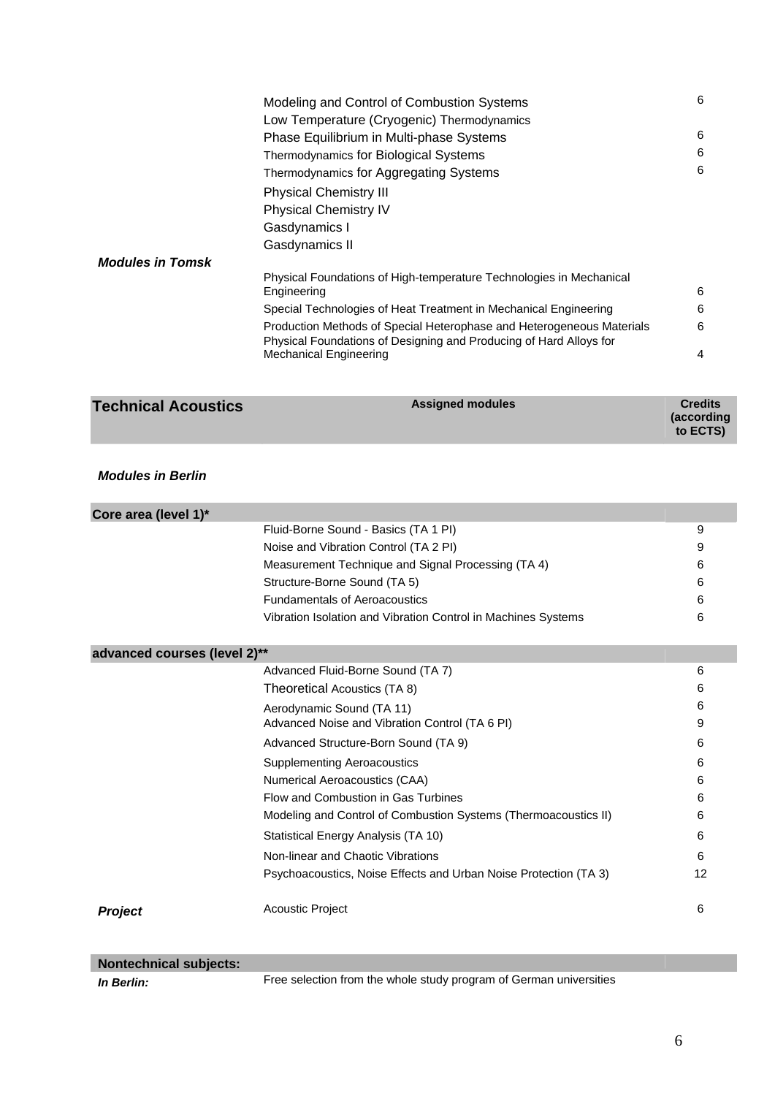|                         | Modeling and Control of Combustion Systems                                                                                                  | 6 |
|-------------------------|---------------------------------------------------------------------------------------------------------------------------------------------|---|
|                         | Low Temperature (Cryogenic) Thermodynamics                                                                                                  |   |
|                         | Phase Equilibrium in Multi-phase Systems                                                                                                    | 6 |
|                         | Thermodynamics for Biological Systems                                                                                                       | 6 |
|                         | Thermodynamics for Aggregating Systems                                                                                                      | 6 |
|                         | <b>Physical Chemistry III</b>                                                                                                               |   |
|                         | <b>Physical Chemistry IV</b>                                                                                                                |   |
|                         | Gasdynamics I                                                                                                                               |   |
|                         | Gasdynamics II                                                                                                                              |   |
| <b>Modules in Tomsk</b> |                                                                                                                                             |   |
|                         | Physical Foundations of High-temperature Technologies in Mechanical<br>Engineering                                                          | 6 |
|                         | Special Technologies of Heat Treatment in Mechanical Engineering                                                                            | 6 |
|                         | Production Methods of Special Heterophase and Heterogeneous Materials<br>Physical Foundations of Designing and Producing of Hard Alloys for | 6 |
|                         | <b>Mechanical Engineering</b>                                                                                                               | 4 |

| <b>Technical Acoustics</b> | <b>Assigned modules</b> | <b>Credits</b><br>(according<br>to ECTS) |
|----------------------------|-------------------------|------------------------------------------|
|                            |                         |                                          |

### *Modules in Berlin*

| Core area (level 1)*                 |                                                                  |    |  |
|--------------------------------------|------------------------------------------------------------------|----|--|
| Fluid-Borne Sound - Basics (TA 1 PI) |                                                                  |    |  |
|                                      | Noise and Vibration Control (TA 2 PI)                            | 9  |  |
|                                      | Measurement Technique and Signal Processing (TA 4)               | 6  |  |
|                                      | Structure-Borne Sound (TA 5)                                     | 6  |  |
|                                      | <b>Fundamentals of Aeroacoustics</b>                             | 6  |  |
|                                      | Vibration Isolation and Vibration Control in Machines Systems    | 6  |  |
| advanced courses (level 2)**         |                                                                  |    |  |
|                                      | Advanced Fluid-Borne Sound (TA 7)                                | 6  |  |
|                                      | Theoretical Acoustics (TA 8)                                     | 6  |  |
|                                      | Aerodynamic Sound (TA 11)                                        | 6  |  |
|                                      | Advanced Noise and Vibration Control (TA 6 PI)                   | 9  |  |
|                                      | Advanced Structure-Born Sound (TA 9)                             | 6  |  |
|                                      | <b>Supplementing Aeroacoustics</b>                               | 6  |  |
|                                      | Numerical Aeroacoustics (CAA)                                    | 6  |  |
|                                      | Flow and Combustion in Gas Turbines                              | 6  |  |
|                                      | Modeling and Control of Combustion Systems (Thermoacoustics II)  | 6  |  |
|                                      | Statistical Energy Analysis (TA 10)                              | 6  |  |
|                                      | Non-linear and Chaotic Vibrations                                | 6  |  |
|                                      | Psychoacoustics, Noise Effects and Urban Noise Protection (TA 3) | 12 |  |
| <b>Project</b>                       | <b>Acoustic Project</b>                                          | 6  |  |
|                                      |                                                                  |    |  |

| <b>Nontechnical subjects:</b> |  |  |
|-------------------------------|--|--|
|                               |  |  |

**In Berlin:** Free selection from the whole study program of German universities